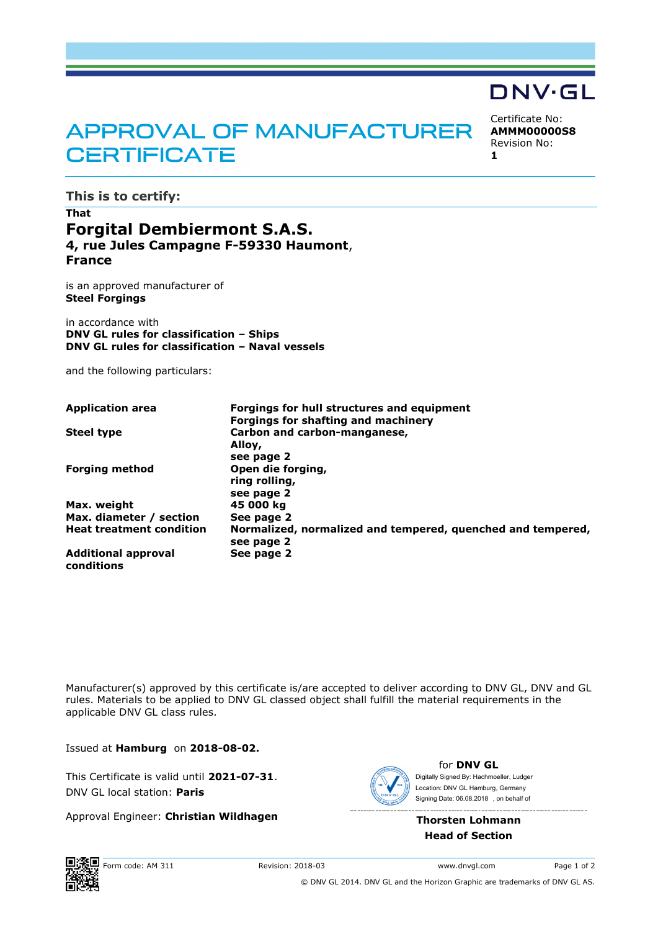# APPROVAL OF MANUFACTURER **CERTIFICATE**

Certificate No: **AMMM00000S8** Revision No: **1**

DNV·GL

**This is to certify:**

## **That Forgital Dembiermont S.A.S. 4, rue Jules Campagne F-59330 Haumont**, **France**

is an approved manufacturer of **Steel Forgings**

in accordance with **DNV GL rules for classification – Ships DNV GL rules for classification – Naval vessels**

and the following particulars:

| <b>Application area</b>                  | Forgings for hull structures and equipment                  |
|------------------------------------------|-------------------------------------------------------------|
|                                          | Forgings for shafting and machinery                         |
| <b>Steel type</b>                        | Carbon and carbon-manganese,                                |
|                                          | Alloy,                                                      |
|                                          | see page 2                                                  |
| <b>Forging method</b>                    | Open die forging,                                           |
|                                          | ring rolling,                                               |
|                                          | see page 2                                                  |
| Max. weight                              | 45 000 kg                                                   |
| Max. diameter / section                  | See page 2                                                  |
| <b>Heat treatment condition</b>          | Normalized, normalized and tempered, quenched and tempered, |
|                                          | see page 2                                                  |
| <b>Additional approval</b><br>conditions | See page 2                                                  |

Manufacturer(s) approved by this certificate is/are accepted to deliver according to DNV GL, DNV and GL rules. Materials to be applied to DNV GL classed object shall fulfill the material requirements in the applicable DNV GL class rules.

Issued at **Hamburg** on **2018-08-02.**

This Certificate is valid until **2021-07-31**. DNV GL local station: **Paris**

Approval Engineer: **Christian Wildhagen**



for **DNV GL** Signing Date: 06.08.2018 , on behalf ofDigitally Signed By: Hachmoeller, Ludger Location: DNV GL Hamburg, Germany

**Thorsten Lohmann Head of Section**



© DNV GL 2014. DNV GL and the Horizon Graphic are trademarks of DNV GL AS.